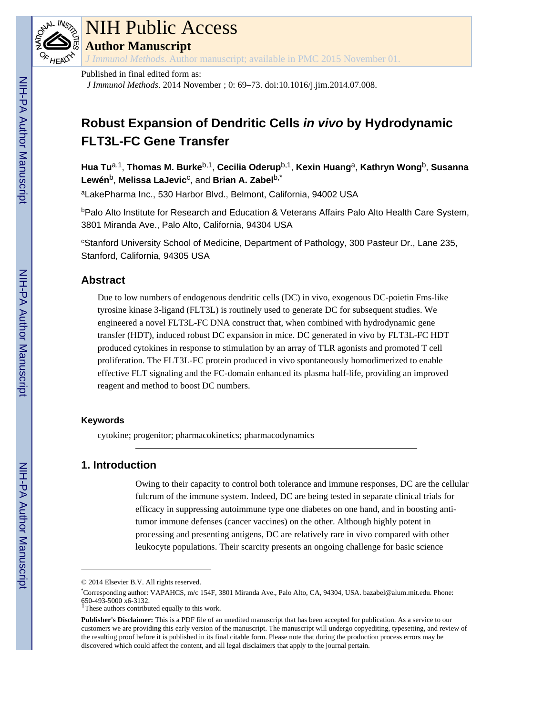

# NIH Public Access

**Author Manuscript**

*J Immunol Methods*. Author manuscript; available in PMC 2015 November 01.

# Published in final edited form as:

*J Immunol Methods*. 2014 November ; 0: 69–73. doi:10.1016/j.jim.2014.07.008.

# **Robust Expansion of Dendritic Cells in vivo by Hydrodynamic FLT3L-FC Gene Transfer**

**Hua Tu**a,1, **Thomas M. Burke**b,1, **Cecilia Oderup**b,1, **Kexin Huang**a, **Kathryn Wong**b, **Susanna Lewén**b, **Melissa LaJevic**<sup>c</sup> , and **Brian A. Zabel**b,\*

<sup>a</sup>LakePharma Inc., 530 Harbor Blvd., Belmont, California, 94002 USA

**bPalo Alto Institute for Research and Education & Veterans Affairs Palo Alto Health Care System,** 3801 Miranda Ave., Palo Alto, California, 94304 USA

<sup>c</sup>Stanford University School of Medicine, Department of Pathology, 300 Pasteur Dr., Lane 235, Stanford, California, 94305 USA

# **Abstract**

Due to low numbers of endogenous dendritic cells (DC) in vivo, exogenous DC-poietin Fms-like tyrosine kinase 3-ligand (FLT3L) is routinely used to generate DC for subsequent studies. We engineered a novel FLT3L-FC DNA construct that, when combined with hydrodynamic gene transfer (HDT), induced robust DC expansion in mice. DC generated in vivo by FLT3L-FC HDT produced cytokines in response to stimulation by an array of TLR agonists and promoted T cell proliferation. The FLT3L-FC protein produced in vivo spontaneously homodimerized to enable effective FLT signaling and the FC-domain enhanced its plasma half-life, providing an improved reagent and method to boost DC numbers.

#### **Keywords**

cytokine; progenitor; pharmacokinetics; pharmacodynamics

# **1. Introduction**

Owing to their capacity to control both tolerance and immune responses, DC are the cellular fulcrum of the immune system. Indeed, DC are being tested in separate clinical trials for efficacy in suppressing autoimmune type one diabetes on one hand, and in boosting antitumor immune defenses (cancer vaccines) on the other. Although highly potent in processing and presenting antigens, DC are relatively rare in vivo compared with other leukocyte populations. Their scarcity presents an ongoing challenge for basic science

<sup>1</sup>These authors contributed equally to this work.

<sup>© 2014</sup> Elsevier B.V. All rights reserved.

<sup>\*</sup>Corresponding author: VAPAHCS, m/c 154F, 3801 Miranda Ave., Palo Alto, CA, 94304, USA. bazabel@alum.mit.edu. Phone: 650-493-5000 x6-3132.

**Publisher's Disclaimer:** This is a PDF file of an unedited manuscript that has been accepted for publication. As a service to our customers we are providing this early version of the manuscript. The manuscript will undergo copyediting, typesetting, and review of the resulting proof before it is published in its final citable form. Please note that during the production process errors may be discovered which could affect the content, and all legal disclaimers that apply to the journal pertain.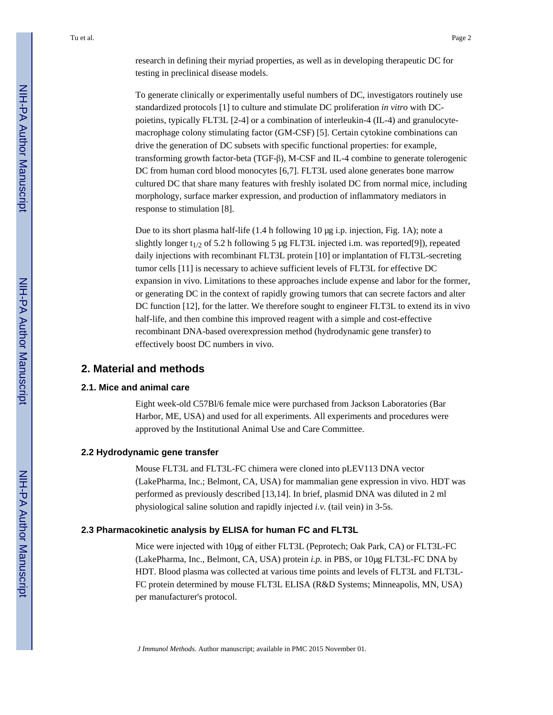research in defining their myriad properties, as well as in developing therapeutic DC for testing in preclinical disease models.

To generate clinically or experimentally useful numbers of DC, investigators routinely use standardized protocols [1] to culture and stimulate DC proliferation *in vitro* with DCpoietins, typically FLT3L [2-4] or a combination of interleukin-4 (IL-4) and granulocytemacrophage colony stimulating factor (GM-CSF) [5]. Certain cytokine combinations can drive the generation of DC subsets with specific functional properties: for example, transforming growth factor-beta (TGF-β), M-CSF and IL-4 combine to generate tolerogenic DC from human cord blood monocytes [6,7]. FLT3L used alone generates bone marrow cultured DC that share many features with freshly isolated DC from normal mice, including morphology, surface marker expression, and production of inflammatory mediators in response to stimulation [8].

Due to its short plasma half-life (1.4 h following 10 μg i.p. injection, Fig. 1A); note a slightly longer  $t_{1/2}$  of 5.2 h following 5 μg FLT3L injected i.m. was reported[9]), repeated daily injections with recombinant FLT3L protein [10] or implantation of FLT3L-secreting tumor cells [11] is necessary to achieve sufficient levels of FLT3L for effective DC expansion in vivo. Limitations to these approaches include expense and labor for the former, or generating DC in the context of rapidly growing tumors that can secrete factors and alter DC function [12], for the latter. We therefore sought to engineer FLT3L to extend its in vivo half-life, and then combine this improved reagent with a simple and cost-effective recombinant DNA-based overexpression method (hydrodynamic gene transfer) to effectively boost DC numbers in vivo.

## **2. Material and methods**

#### **2.1. Mice and animal care**

Eight week-old C57Bl/6 female mice were purchased from Jackson Laboratories (Bar Harbor, ME, USA) and used for all experiments. All experiments and procedures were approved by the Institutional Animal Use and Care Committee.

#### **2.2 Hydrodynamic gene transfer**

Mouse FLT3L and FLT3L-FC chimera were cloned into pLEV113 DNA vector (LakePharma, Inc.; Belmont, CA, USA) for mammalian gene expression in vivo. HDT was performed as previously described [13,14]. In brief, plasmid DNA was diluted in 2 ml physiological saline solution and rapidly injected *i.v.* (tail vein) in 3-5s.

#### **2.3 Pharmacokinetic analysis by ELISA for human FC and FLT3L**

Mice were injected with 10μg of either FLT3L (Peprotech; Oak Park, CA) or FLT3L-FC (LakePharma, Inc., Belmont, CA, USA) protein *i.p.* in PBS, or 10μg FLT3L-FC DNA by HDT. Blood plasma was collected at various time points and levels of FLT3L and FLT3L-FC protein determined by mouse FLT3L ELISA (R&D Systems; Minneapolis, MN, USA) per manufacturer's protocol.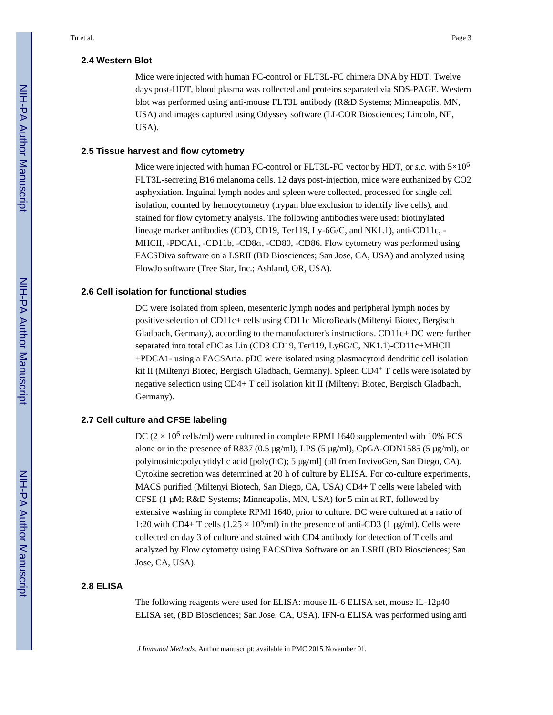#### **2.4 Western Blot**

Mice were injected with human FC-control or FLT3L-FC chimera DNA by HDT. Twelve days post-HDT, blood plasma was collected and proteins separated via SDS-PAGE. Western blot was performed using anti-mouse FLT3L antibody (R&D Systems; Minneapolis, MN, USA) and images captured using Odyssey software (LI-COR Biosciences; Lincoln, NE, USA).

#### **2.5 Tissue harvest and flow cytometry**

Mice were injected with human FC-control or FLT3L-FC vector by HDT, or *s.c.* with  $5\times10^6$ FLT3L-secreting B16 melanoma cells. 12 days post-injection, mice were euthanized by CO2 asphyxiation. Inguinal lymph nodes and spleen were collected, processed for single cell isolation, counted by hemocytometry (trypan blue exclusion to identify live cells), and stained for flow cytometry analysis. The following antibodies were used: biotinylated lineage marker antibodies (CD3, CD19, Ter119, Ly-6G/C, and NK1.1), anti-CD11c, - MHCII, -PDCA1, -CD11b, -CD8α, -CD80, -CD86. Flow cytometry was performed using FACSDiva software on a LSRII (BD Biosciences; San Jose, CA, USA) and analyzed using FlowJo software (Tree Star, Inc.; Ashland, OR, USA).

#### **2.6 Cell isolation for functional studies**

DC were isolated from spleen, mesenteric lymph nodes and peripheral lymph nodes by positive selection of CD11c+ cells using CD11c MicroBeads (Miltenyi Biotec, Bergisch Gladbach, Germany), according to the manufacturer's instructions. CD11 $c$ + DC were further separated into total cDC as Lin (CD3 CD19, Ter119, Ly6G/C, NK1.1)-CD11c+MHCII +PDCA1- using a FACSAria. pDC were isolated using plasmacytoid dendritic cell isolation kit II (Miltenyi Biotec, Bergisch Gladbach, Germany). Spleen CD4<sup>+</sup> T cells were isolated by negative selection using CD4+ T cell isolation kit II (Miltenyi Biotec, Bergisch Gladbach, Germany).

#### **2.7 Cell culture and CFSE labeling**

DC  $(2 \times 10^6 \text{ cells/ml})$  were cultured in complete RPMI 1640 supplemented with 10% FCS alone or in the presence of R837 (0.5 μg/ml), LPS (5 μg/ml), CpGA-ODN1585 (5 μg/ml), or polyinosinic:polycytidylic acid [poly(I:C); 5 μg/ml] (all from InvivoGen, San Diego, CA). Cytokine secretion was determined at 20 h of culture by ELISA. For co-culture experiments, MACS purified (Miltenyi Biotech, San Diego, CA, USA) CD4+ T cells were labeled with CFSE (1 μM; R&D Systems; Minneapolis, MN, USA) for 5 min at RT, followed by extensive washing in complete RPMI 1640, prior to culture. DC were cultured at a ratio of 1:20 with CD4+ T cells  $(1.25 \times 10^5 \text{/ml})$  in the presence of anti-CD3 (1 µg/ml). Cells were collected on day 3 of culture and stained with CD4 antibody for detection of T cells and analyzed by Flow cytometry using FACSDiva Software on an LSRII (BD Biosciences; San Jose, CA, USA).

#### **2.8 ELISA**

The following reagents were used for ELISA: mouse IL-6 ELISA set, mouse IL-12p40 ELISA set, (BD Biosciences; San Jose, CA, USA). IFN-α ELISA was performed using anti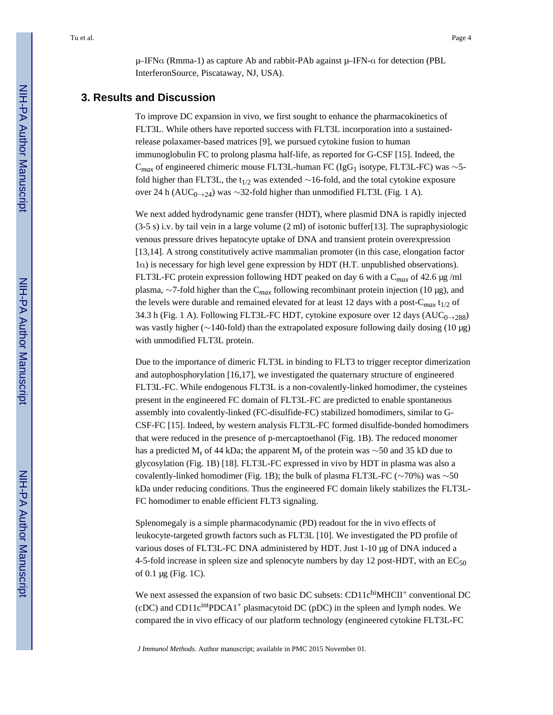μ–IFNα (Rmma-1) as capture Ab and rabbit-PAb against μ–IFN-α for detection (PBL InterferonSource, Piscataway, NJ, USA).

#### **3. Results and Discussion**

To improve DC expansion in vivo, we first sought to enhance the pharmacokinetics of FLT3L. While others have reported success with FLT3L incorporation into a sustainedrelease polaxamer-based matrices [9], we pursued cytokine fusion to human immunoglobulin FC to prolong plasma half-life, as reported for G-CSF [15]. Indeed, the C<sub>max</sub> of engineered chimeric mouse FLT3L-human FC (IgG<sub>1</sub> isotype, FLT3L-FC) was ∼5fold higher than FLT3L, the t<sub>1/2</sub> was extended ∼16-fold, and the total cytokine exposure over 24 h (AUC<sub>0→24</sub>) was ∼32-fold higher than unmodified FLT3L (Fig. 1 A).

We next added hydrodynamic gene transfer (HDT), where plasmid DNA is rapidly injected (3-5 s) i.v. by tail vein in a large volume (2 ml) of isotonic buffer[13]. The supraphysiologic venous pressure drives hepatocyte uptake of DNA and transient protein overexpression [13,14]. A strong constitutively active mammalian promoter (in this case, elongation factor 1α) is necessary for high level gene expression by HDT (H.T. unpublished observations). FLT3L-FC protein expression following HDT peaked on day 6 with a C*max* of 42.6 μg /ml plasma, ∼7-fold higher than the C*max* following recombinant protein injection (10 μg), and the levels were durable and remained elevated for at least 12 days with a post- $C_{max} t_{1/2}$  of 34.3 h (Fig. 1 A). Following FLT3L-FC HDT, cytokine exposure over 12 days ( $AUC_{0\rightarrow 288}$ ) was vastly higher (∼140-fold) than the extrapolated exposure following daily dosing (10 μg) with unmodified FLT3L protein.

Due to the importance of dimeric FLT3L in binding to FLT3 to trigger receptor dimerization and autophosphorylation [16,17], we investigated the quaternary structure of engineered FLT3L-FC. While endogenous FLT3L is a non-covalently-linked homodimer, the cysteines present in the engineered FC domain of FLT3L-FC are predicted to enable spontaneous assembly into covalently-linked (FC-disulfide-FC) stabilized homodimers, similar to G-CSF-FC [15]. Indeed, by western analysis FLT3L-FC formed disulfide-bonded homodimers that were reduced in the presence of p-mercaptoethanol (Fig. 1B). The reduced monomer has a predicted  $M_r$  of 44 kDa; the apparent  $M_r$  of the protein was ~50 and 35 kD due to glycosylation (Fig. 1B) [18]. FLT3L-FC expressed in vivo by HDT in plasma was also a covalently-linked homodimer (Fig. 1B); the bulk of plasma FLT3L-FC (∼70%) was ∼50 kDa under reducing conditions. Thus the engineered FC domain likely stabilizes the FLT3L-FC homodimer to enable efficient FLT3 signaling.

Splenomegaly is a simple pharmacodynamic (PD) readout for the in vivo effects of leukocyte-targeted growth factors such as FLT3L [10]. We investigated the PD profile of various doses of FLT3L-FC DNA administered by HDT. Just 1-10 μg of DNA induced a 4-5-fold increase in spleen size and splenocyte numbers by day 12 post-HDT, with an  $EC_{50}$ of 0.1 μg (Fig. 1C).

We next assessed the expansion of two basic DC subsets:  $CD11<sup>chi</sup>MLClI<sup>+</sup>$  conventional DC (cDC) and CD11cintPDCA1+ plasmacytoid DC (pDC) in the spleen and lymph nodes. We compared the in vivo efficacy of our platform technology (engineered cytokine FLT3L-FC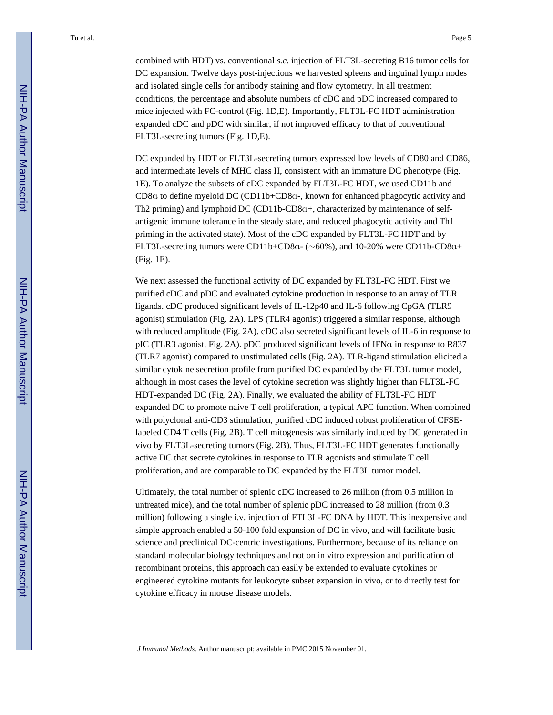Tu et al. Page 5

DC expanded by HDT or FLT3L-secreting tumors expressed low levels of CD80 and CD86, and intermediate levels of MHC class II, consistent with an immature DC phenotype (Fig. 1E). To analyze the subsets of cDC expanded by FLT3L-FC HDT, we used CD11b and CD8α to define myeloid DC (CD11b+CD8α-, known for enhanced phagocytic activity and Th2 priming) and lymphoid DC (CD11b-CD8α+, characterized by maintenance of selfantigenic immune tolerance in the steady state, and reduced phagocytic activity and Th1 priming in the activated state). Most of the cDC expanded by FLT3L-FC HDT and by FLT3L-secreting tumors were CD11b+CD8α- (∼60%), and 10-20% were CD11b-CD8α+ (Fig. 1E).

We next assessed the functional activity of DC expanded by FLT3L-FC HDT. First we purified cDC and pDC and evaluated cytokine production in response to an array of TLR ligands. cDC produced significant levels of IL-12p40 and IL-6 following CpGA (TLR9 agonist) stimulation (Fig. 2A). LPS (TLR4 agonist) triggered a similar response, although with reduced amplitude (Fig. 2A). cDC also secreted significant levels of IL-6 in response to pIC (TLR3 agonist, Fig. 2A). pDC produced significant levels of IFNa in response to R837 (TLR7 agonist) compared to unstimulated cells (Fig. 2A). TLR-ligand stimulation elicited a similar cytokine secretion profile from purified DC expanded by the FLT3L tumor model, although in most cases the level of cytokine secretion was slightly higher than FLT3L-FC HDT-expanded DC (Fig. 2A). Finally, we evaluated the ability of FLT3L-FC HDT expanded DC to promote naive T cell proliferation, a typical APC function. When combined with polyclonal anti-CD3 stimulation, purified cDC induced robust proliferation of CFSElabeled CD4 T cells (Fig. 2B). T cell mitogenesis was similarly induced by DC generated in vivo by FLT3L-secreting tumors (Fig. 2B). Thus, FLT3L-FC HDT generates functionally active DC that secrete cytokines in response to TLR agonists and stimulate T cell proliferation, and are comparable to DC expanded by the FLT3L tumor model.

Ultimately, the total number of splenic cDC increased to 26 million (from 0.5 million in untreated mice), and the total number of splenic pDC increased to 28 million (from 0.3 million) following a single i.v. injection of FTL3L-FC DNA by HDT. This inexpensive and simple approach enabled a 50-100 fold expansion of DC in vivo, and will facilitate basic science and preclinical DC-centric investigations. Furthermore, because of its reliance on standard molecular biology techniques and not on in vitro expression and purification of recombinant proteins, this approach can easily be extended to evaluate cytokines or engineered cytokine mutants for leukocyte subset expansion in vivo, or to directly test for cytokine efficacy in mouse disease models.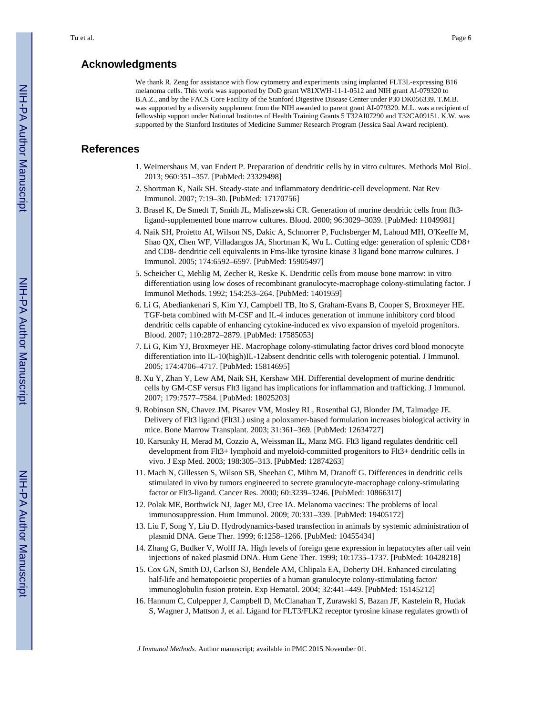## **Acknowledgments**

We thank R. Zeng for assistance with flow cytometry and experiments using implanted FLT3L-expressing B16 melanoma cells. This work was supported by DoD grant W81XWH-11-1-0512 and NIH grant AI-079320 to B.A.Z., and by the FACS Core Facility of the Stanford Digestive Disease Center under P30 DK056339. T.M.B. was supported by a diversity supplement from the NIH awarded to parent grant AI-079320. M.L. was a recipient of fellowship support under National Institutes of Health Training Grants 5 T32AI07290 and T32CA09151. K.W. was supported by the Stanford Institutes of Medicine Summer Research Program (Jessica Saal Award recipient).

## **References**

- 1. Weimershaus M, van Endert P. Preparation of dendritic cells by in vitro cultures. Methods Mol Biol. 2013; 960:351–357. [PubMed: 23329498]
- 2. Shortman K, Naik SH. Steady-state and inflammatory dendritic-cell development. Nat Rev Immunol. 2007; 7:19–30. [PubMed: 17170756]
- 3. Brasel K, De Smedt T, Smith JL, Maliszewski CR. Generation of murine dendritic cells from flt3 ligand-supplemented bone marrow cultures. Blood. 2000; 96:3029–3039. [PubMed: 11049981]
- 4. Naik SH, Proietto AI, Wilson NS, Dakic A, Schnorrer P, Fuchsberger M, Lahoud MH, O'Keeffe M, Shao QX, Chen WF, Villadangos JA, Shortman K, Wu L. Cutting edge: generation of splenic CD8+ and CD8- dendritic cell equivalents in Fms-like tyrosine kinase 3 ligand bone marrow cultures. J Immunol. 2005; 174:6592–6597. [PubMed: 15905497]
- 5. Scheicher C, Mehlig M, Zecher R, Reske K. Dendritic cells from mouse bone marrow: in vitro differentiation using low doses of recombinant granulocyte-macrophage colony-stimulating factor. J Immunol Methods. 1992; 154:253–264. [PubMed: 1401959]
- 6. Li G, Abediankenari S, Kim YJ, Campbell TB, Ito S, Graham-Evans B, Cooper S, Broxmeyer HE. TGF-beta combined with M-CSF and IL-4 induces generation of immune inhibitory cord blood dendritic cells capable of enhancing cytokine-induced ex vivo expansion of myeloid progenitors. Blood. 2007; 110:2872–2879. [PubMed: 17585053]
- 7. Li G, Kim YJ, Broxmeyer HE. Macrophage colony-stimulating factor drives cord blood monocyte differentiation into IL-10(high)IL-12absent dendritic cells with tolerogenic potential. J Immunol. 2005; 174:4706–4717. [PubMed: 15814695]
- 8. Xu Y, Zhan Y, Lew AM, Naik SH, Kershaw MH. Differential development of murine dendritic cells by GM-CSF versus Flt3 ligand has implications for inflammation and trafficking. J Immunol. 2007; 179:7577–7584. [PubMed: 18025203]
- 9. Robinson SN, Chavez JM, Pisarev VM, Mosley RL, Rosenthal GJ, Blonder JM, Talmadge JE. Delivery of Flt3 ligand (Flt3L) using a poloxamer-based formulation increases biological activity in mice. Bone Marrow Transplant. 2003; 31:361–369. [PubMed: 12634727]
- 10. Karsunky H, Merad M, Cozzio A, Weissman IL, Manz MG. Flt3 ligand regulates dendritic cell development from Flt3+ lymphoid and myeloid-committed progenitors to Flt3+ dendritic cells in vivo. J Exp Med. 2003; 198:305–313. [PubMed: 12874263]
- 11. Mach N, Gillessen S, Wilson SB, Sheehan C, Mihm M, Dranoff G. Differences in dendritic cells stimulated in vivo by tumors engineered to secrete granulocyte-macrophage colony-stimulating factor or Flt3-ligand. Cancer Res. 2000; 60:3239–3246. [PubMed: 10866317]
- 12. Polak ME, Borthwick NJ, Jager MJ, Cree IA. Melanoma vaccines: The problems of local immunosuppression. Hum Immunol. 2009; 70:331–339. [PubMed: 19405172]
- 13. Liu F, Song Y, Liu D. Hydrodynamics-based transfection in animals by systemic administration of plasmid DNA. Gene Ther. 1999; 6:1258–1266. [PubMed: 10455434]
- 14. Zhang G, Budker V, Wolff JA. High levels of foreign gene expression in hepatocytes after tail vein injections of naked plasmid DNA. Hum Gene Ther. 1999; 10:1735–1737. [PubMed: 10428218]
- 15. Cox GN, Smith DJ, Carlson SJ, Bendele AM, Chlipala EA, Doherty DH. Enhanced circulating half-life and hematopoietic properties of a human granulocyte colony-stimulating factor/ immunoglobulin fusion protein. Exp Hematol. 2004; 32:441–449. [PubMed: 15145212]
- 16. Hannum C, Culpepper J, Campbell D, McClanahan T, Zurawski S, Bazan JF, Kastelein R, Hudak S, Wagner J, Mattson J, et al. Ligand for FLT3/FLK2 receptor tyrosine kinase regulates growth of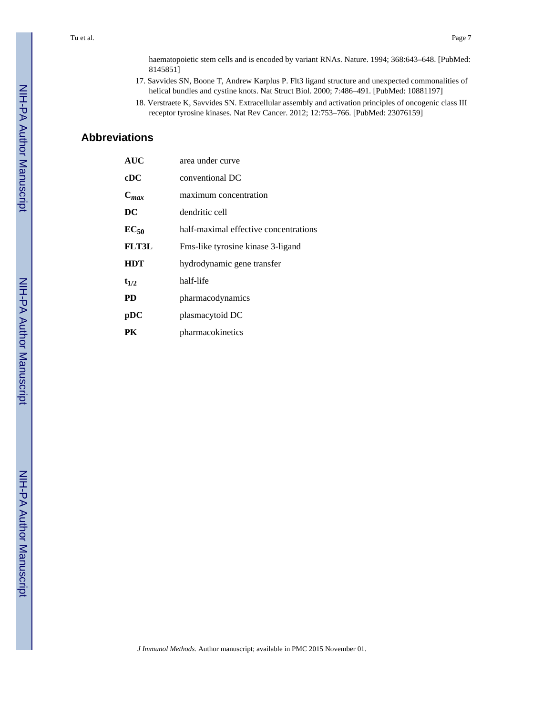Tu et al. Page 7

haematopoietic stem cells and is encoded by variant RNAs. Nature. 1994; 368:643–648. [PubMed: 8145851]

- 17. Savvides SN, Boone T, Andrew Karplus P. Flt3 ligand structure and unexpected commonalities of helical bundles and cystine knots. Nat Struct Biol. 2000; 7:486–491. [PubMed: 10881197]
- 18. Verstraete K, Savvides SN. Extracellular assembly and activation principles of oncogenic class III receptor tyrosine kinases. Nat Rev Cancer. 2012; 12:753–766. [PubMed: 23076159]

# **Abbreviations**

| <b>AUC</b>   | area under curve                      |
|--------------|---------------------------------------|
| cDC          | conventional DC                       |
| $C_{max}$    | maximum concentration                 |
| DC           | dendritic cell                        |
| $EC_{50}$    | half-maximal effective concentrations |
| <b>FLT3L</b> | Fms-like tyrosine kinase 3-ligand     |
| <b>HDT</b>   | hydrodynamic gene transfer            |
| $t_{1/2}$    | half-life                             |
| PD           | pharmacodynamics                      |
| pDC          | plasmacytoid DC                       |
| PК           | pharmacokinetics                      |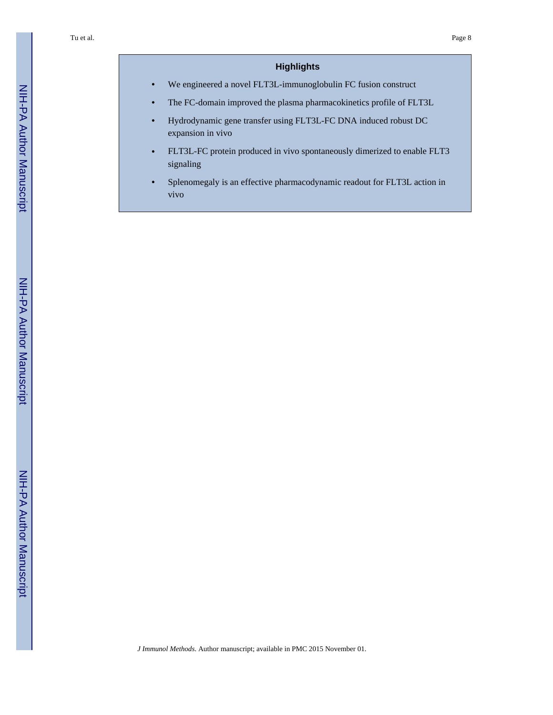# **Highlights**

**•** We engineered a novel FLT3L-immunoglobulin FC fusion construct

- **•** The FC-domain improved the plasma pharmacokinetics profile of FLT3L
- **•** Hydrodynamic gene transfer using FLT3L-FC DNA induced robust DC expansion in vivo
- **•** FLT3L-FC protein produced in vivo spontaneously dimerized to enable FLT3 signaling
- **•** Splenomegaly is an effective pharmacodynamic readout for FLT3L action in vivo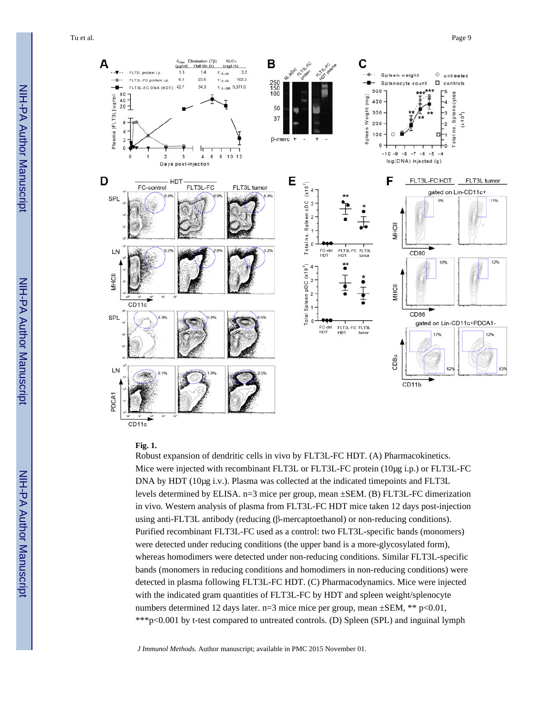Tu et al. Page 9



#### **Fig. 1.**

Robust expansion of dendritic cells in vivo by FLT3L-FC HDT. (A) Pharmacokinetics. Mice were injected with recombinant FLT3L or FLT3L-FC protein (10μg i.p.) or FLT3L-FC DNA by HDT (10μg i.v.). Plasma was collected at the indicated timepoints and FLT3L levels determined by ELISA. n=3 mice per group, mean ±SEM. (B) FLT3L-FC dimerization in vivo. Western analysis of plasma from FLT3L-FC HDT mice taken 12 days post-injection using anti-FLT3L antibody (reducing (β-mercaptoethanol) or non-reducing conditions). Purified recombinant FLT3L-FC used as a control: two FLT3L-specific bands (monomers) were detected under reducing conditions (the upper band is a more-glycosylated form), whereas homodimers were detected under non-reducing conditions. Similar FLT3L-specific bands (monomers in reducing conditions and homodimers in non-reducing conditions) were detected in plasma following FLT3L-FC HDT. (C) Pharmacodynamics. Mice were injected with the indicated gram quantities of FLT3L-FC by HDT and spleen weight/splenocyte numbers determined 12 days later.  $n=3$  mice mice per group, mean  $\pm$ SEM, \*\* p<0.01, \*\*\*p<0.001 by t-test compared to untreated controls. (D) Spleen (SPL) and inguinal lymph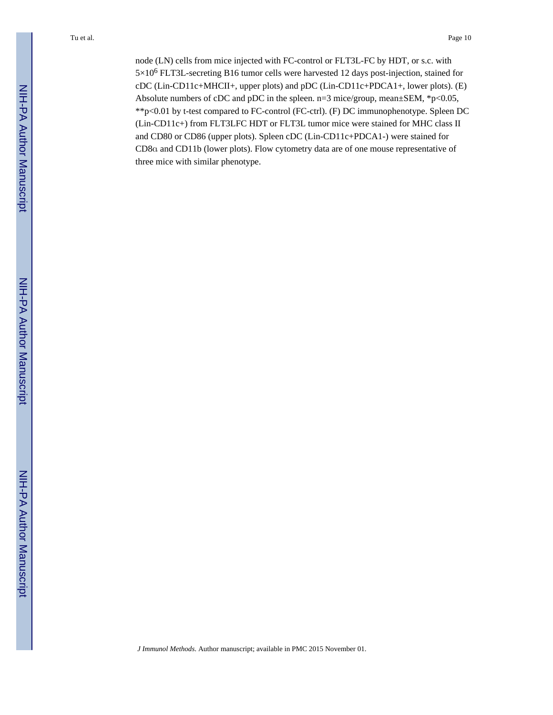node (LN) cells from mice injected with FC-control or FLT3L-FC by HDT, or s.c. with 5×10<sup>6</sup> FLT3L-secreting B16 tumor cells were harvested 12 days post-injection, stained for cDC (Lin-CD11c+MHCII+, upper plots) and pDC (Lin-CD11c+PDCA1+, lower plots). (E) Absolute numbers of cDC and pDC in the spleen. n=3 mice/group, mean±SEM, \*p<0.05, \*\*p<0.01 by t-test compared to FC-control (FC-ctrl). (F) DC immunophenotype. Spleen DC (Lin-CD11c+) from FLT3LFC HDT or FLT3L tumor mice were stained for MHC class II and CD80 or CD86 (upper plots). Spleen cDC (Lin-CD11c+PDCA1-) were stained for CD8α and CD11b (lower plots). Flow cytometry data are of one mouse representative of three mice with similar phenotype.